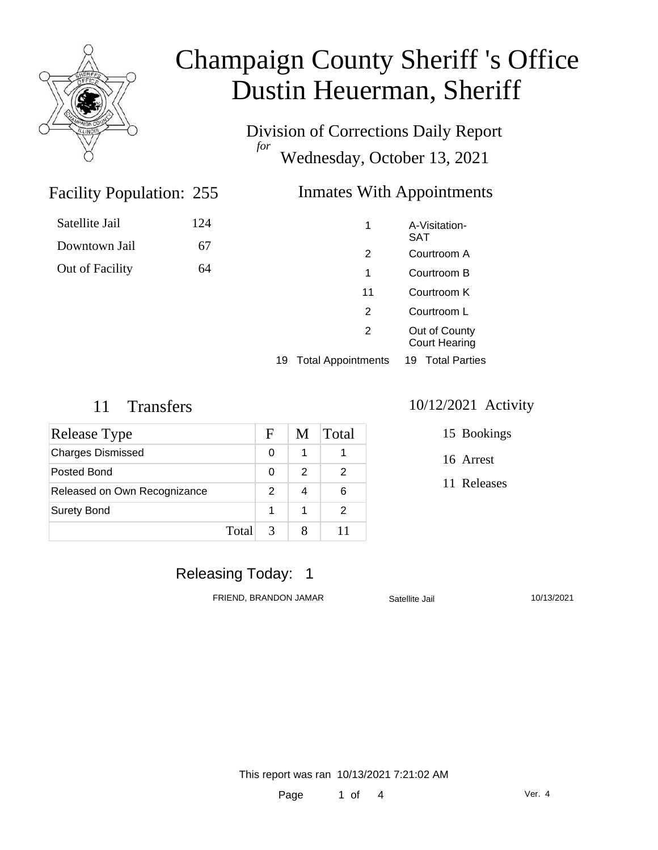

Division of Corrections Daily Report *for* Wednesday, October 13, 2021

### Inmates With Appointments

| Satellite Jail  | 124 |
|-----------------|-----|
| Downtown Jail   | 67  |
| Out of Facility | 64  |

Facility Population: 255

|    | 1                         | A-Visitation-<br><b>SAT</b>           |
|----|---------------------------|---------------------------------------|
|    | 2                         | Courtroom A                           |
|    | 1                         | Courtroom B                           |
|    | 11                        | Courtroom K                           |
|    | 2                         | Courtroom L                           |
|    | $\mathcal{P}$             | Out of County<br><b>Court Hearing</b> |
| 19 | <b>Total Appointments</b> | <b>Total Parties</b><br>19            |

| Release Type                 |       | F             | M | Total |
|------------------------------|-------|---------------|---|-------|
| <b>Charges Dismissed</b>     |       | 0             | 1 |       |
| Posted Bond                  |       | 0             | 2 | 2     |
| Released on Own Recognizance |       | 2             |   | 6     |
| <b>Surety Bond</b>           |       | 1             | 1 | 2     |
|                              | Total | $\mathcal{R}$ | 8 |       |

#### 11 Transfers 10/12/2021 Activity

15 Bookings

16 Arrest

11 Releases

### Releasing Today: 1

FRIEND, BRANDON JAMAR Satellite Jail 10/13/2021

This report was ran 10/13/2021 7:21:02 AM

Page 1 of 4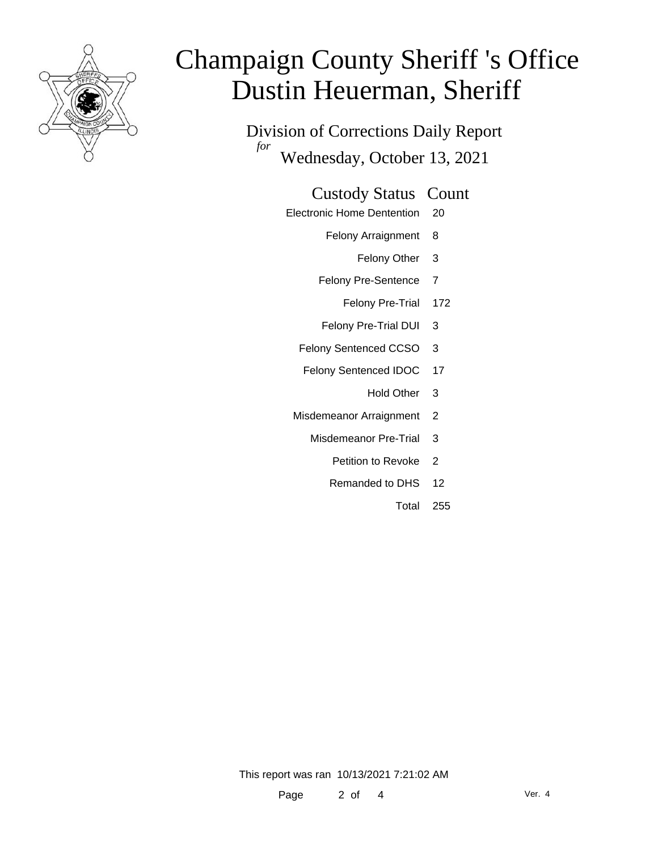

Division of Corrections Daily Report *for* Wednesday, October 13, 2021

#### Custody Status Count

- Electronic Home Dentention 20
	- Felony Arraignment 8
		- Felony Other 3
	- Felony Pre-Sentence 7
		- Felony Pre-Trial 172
	- Felony Pre-Trial DUI 3
	- Felony Sentenced CCSO 3
	- Felony Sentenced IDOC 17
		- Hold Other 3
	- Misdemeanor Arraignment 2
		- Misdemeanor Pre-Trial 3
			- Petition to Revoke 2
			- Remanded to DHS 12
				- Total 255

This report was ran 10/13/2021 7:21:02 AM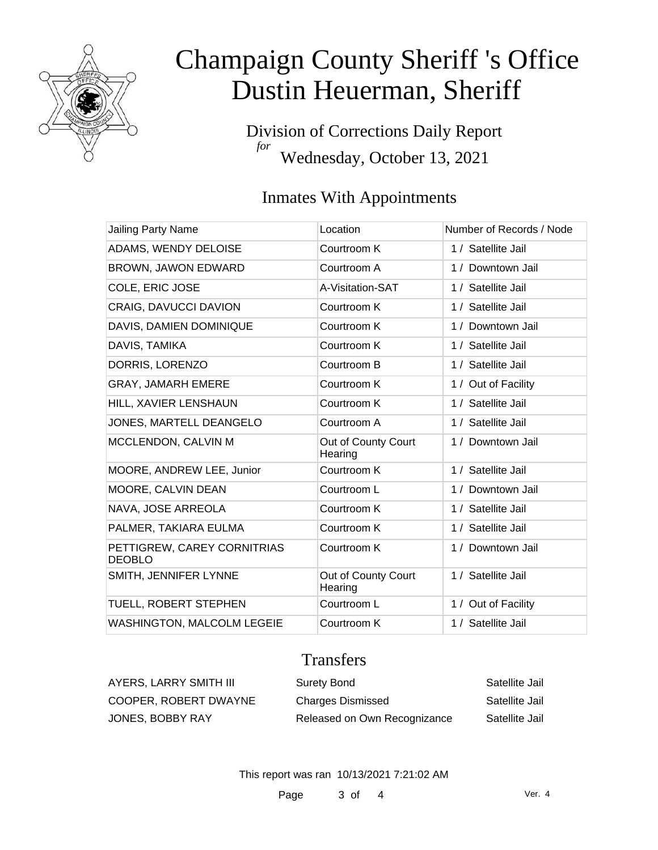

Division of Corrections Daily Report *for* Wednesday, October 13, 2021

### Inmates With Appointments

| Jailing Party Name                           | Location                       | Number of Records / Node |
|----------------------------------------------|--------------------------------|--------------------------|
| ADAMS, WENDY DELOISE                         | Courtroom K                    | 1 / Satellite Jail       |
| <b>BROWN, JAWON EDWARD</b>                   | Courtroom A                    | 1 / Downtown Jail        |
| COLE, ERIC JOSE                              | A-Visitation-SAT               | 1 / Satellite Jail       |
| <b>CRAIG, DAVUCCI DAVION</b>                 | Courtroom K                    | 1 / Satellite Jail       |
| DAVIS, DAMIEN DOMINIQUE                      | Courtroom K                    | 1 / Downtown Jail        |
| DAVIS, TAMIKA                                | Courtroom K                    | 1 / Satellite Jail       |
| DORRIS, LORENZO                              | Courtroom B                    | 1 / Satellite Jail       |
| GRAY, JAMARH EMERE                           | Courtroom K                    | 1 / Out of Facility      |
| HILL, XAVIER LENSHAUN                        | Courtroom K                    | 1 / Satellite Jail       |
| JONES, MARTELL DEANGELO                      | Courtroom A                    | 1 / Satellite Jail       |
| MCCLENDON, CALVIN M                          | Out of County Court<br>Hearing | 1 / Downtown Jail        |
| MOORE, ANDREW LEE, Junior                    | Courtroom K                    | 1 / Satellite Jail       |
| MOORE, CALVIN DEAN                           | Courtroom L                    | 1 / Downtown Jail        |
| NAVA, JOSE ARREOLA                           | Courtroom K                    | 1 / Satellite Jail       |
| PALMER, TAKIARA EULMA                        | Courtroom K                    | 1 / Satellite Jail       |
| PETTIGREW, CAREY CORNITRIAS<br><b>DEOBLO</b> | Courtroom K                    | 1 / Downtown Jail        |
| SMITH, JENNIFER LYNNE                        | Out of County Court<br>Hearing | 1 / Satellite Jail       |
| TUELL, ROBERT STEPHEN                        | Courtroom L                    | 1 / Out of Facility      |
| WASHINGTON, MALCOLM LEGEIE                   | Courtroom K                    | 1 / Satellite Jail       |

### **Transfers**

| AYERS, LARRY SMITH III | Surety Bond                  | Satellite Jail |
|------------------------|------------------------------|----------------|
| COOPER, ROBERT DWAYNE  | <b>Charges Dismissed</b>     | Satellite Jail |
| JONES, BOBBY RAY       | Released on Own Recognizance | Satellite Jail |

This report was ran 10/13/2021 7:21:02 AM